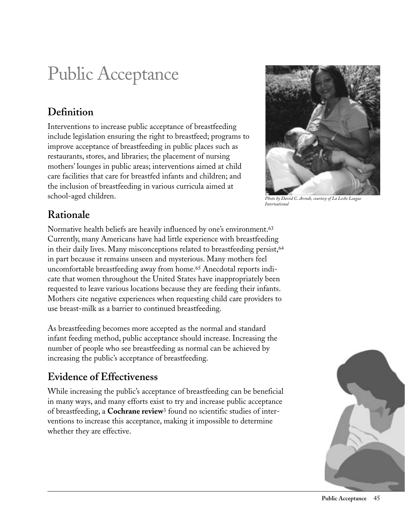# Public Acceptance

# **Definition**

Interventions to increase public acceptance of breastfeeding include legislation ensuring the right to breastfeed; programs to improve acceptance of breastfeeding in public places such as restaurants, stores, and libraries; the placement of nursing mothers' lounges in public areas; interventions aimed at child care facilities that care for breastfed infants and children; and the inclusion of breastfeeding in various curricula aimed at school-aged children. *Photo by David C. Arendt, courtesy of La Leche League* 



*International*

# **Rationale**

Normative health beliefs are heavily influenced by one's environment.63 Currently, many Americans have had little experience with breastfeeding in their daily lives. Many misconceptions related to breastfeeding persist,<sup>64</sup> in part because it remains unseen and mysterious. Many mothers feel uncomfortable breastfeeding away from home.65 Anecdotal reports indicate that women throughout the United States have inappropriately been requested to leave various locations because they are feeding their infants. Mothers cite negative experiences when requesting child care providers to use breast-milk as a barrier to continued breastfeeding.

As breastfeeding becomes more accepted as the normal and standard infant feeding method, public acceptance should increase. Increasing the number of people who see breastfeeding as normal can be achieved by increasing the public's acceptance of breastfeeding.

# **Evidence of Effectiveness**

While increasing the public's acceptance of breastfeeding can be beneficial in many ways, and many efforts exist to try and increase public acceptance of breastfeeding, a **Cochrane review**3 found no scientific studies of interventions to increase this acceptance, making it impossible to determine whether they are effective.

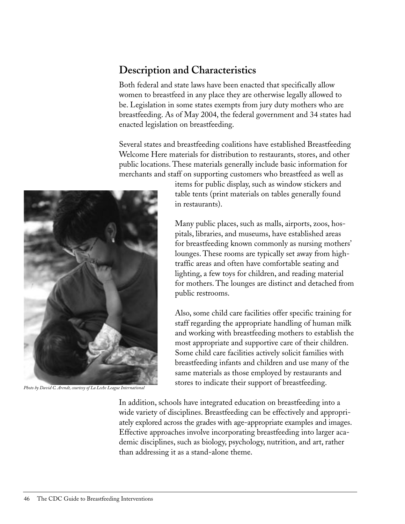# **Description and Characteristics**

Both federal and state laws have been enacted that specifically allow women to breastfeed in any place they are otherwise legally allowed to be. Legislation in some states exempts from jury duty mothers who are breastfeeding. As of May 2004, the federal government and 34 states had enacted legislation on breastfeeding.

Several states and breastfeeding coalitions have established Breastfeeding Welcome Here materials for distribution to restaurants, stores, and other public locations. These materials generally include basic information for merchants and staff on supporting customers who breastfeed as well as

items for public display, such as window stickers and table tents (print materials on tables generally found in restaurants).

Many public places, such as malls, airports, zoos, hospitals, libraries, and museums, have established areas for breastfeeding known commonly as nursing mothers' lounges. These rooms are typically set away from hightraffic areas and often have comfortable seating and lighting, a few toys for children, and reading material for mothers. The lounges are distinct and detached from public restrooms.

Also, some child care facilities offer specific training for staff regarding the appropriate handling of human milk and working with breastfeeding mothers to establish the most appropriate and supportive care of their children. Some child care facilities actively solicit families with breastfeeding infants and children and use many of the same materials as those employed by restaurants and stores to indicate their support of breastfeeding. *Photo by David C. Arendt, courtesy of La Leche League International*

> In addition, schools have integrated education on breastfeeding into a wide variety of disciplines. Breastfeeding can be effectively and appropriately explored across the grades with age-appropriate examples and images. Effective approaches involve incorporating breastfeeding into larger academic disciplines, such as biology, psychology, nutrition, and art, rather than addressing it as a stand-alone theme.

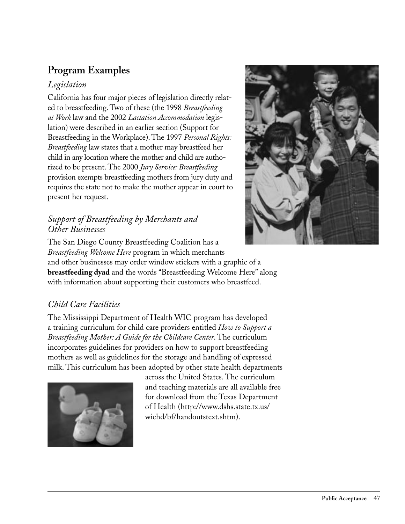# **Program Examples**

### *Legislation*

California has four major pieces of legislation directly related to breastfeeding. Two of these (the 1998 *Breastfeeding at Work* law and the 2002 *Lactation Accommodation* legislation) were described in an earlier section (Support for Breastfeeding in the Workplace). The 1997 *Personal Rights: Breastfeeding* law states that a mother may breastfeed her child in any location where the mother and child are authorized to be present. The 2000 *Jury Service: Breastfeeding* provision exempts breastfeeding mothers from jury duty and requires the state not to make the mother appear in court to present her request.

#### *Support of Breastfeeding by Merchants and Other Businesses*



The San Diego County Breastfeeding Coalition has a *Breastfeeding Welcome Here* program in which merchants and other businesses may order window stickers with a graphic of a **breastfeeding dyad** and the words "Breastfeeding Welcome Here" along with information about supporting their customers who breastfeed.

### *Child Care Facilities*

The Mississippi Department of Health WIC program has developed a training curriculum for child care providers entitled *How to Support a Breastfeeding Mother: A Guide for the Childcare Center*. The curriculum incorporates guidelines for providers on how to support breastfeeding mothers as well as guidelines for the storage and handling of expressed milk. This curriculum has been adopted by other state health departments



across the United States. The curriculum and teaching materials are all available free for download from the Texas Department of Health (http://www.dshs.state.tx.us/ wichd/bf/handoutstext.shtm).